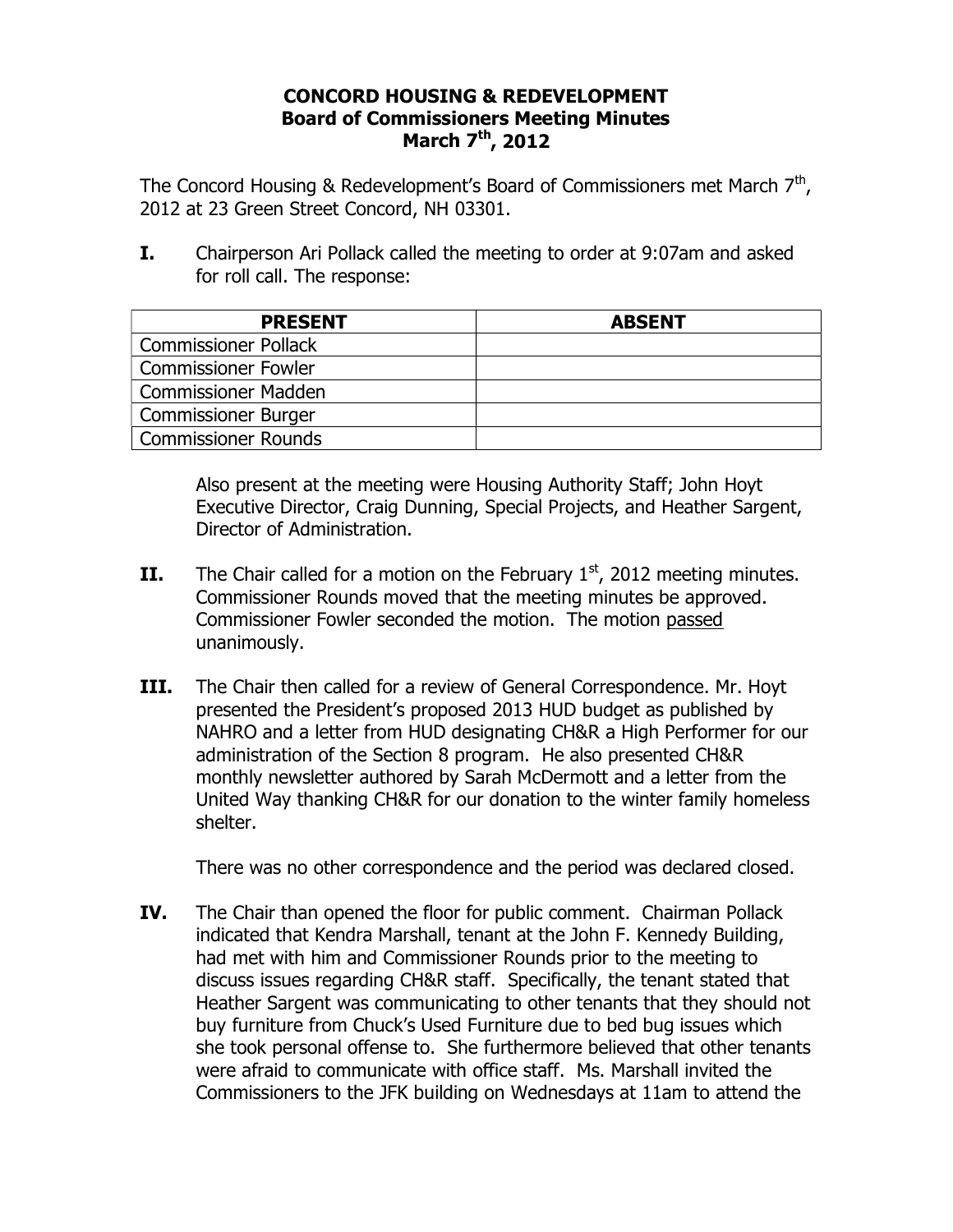## **CONCORD HOUSING & REDEVELOPMENT Board of Commissioners Meeting Minutes March 7th, 2012**

The Concord Housing & Redevelopment's Board of Commissioners met March  $7<sup>th</sup>$ , 2012 at 23 Green Street Concord, NH 03301.

**I.** Chairperson Ari Pollack called the meeting to order at 9:07am and asked for roll call. The response:

| <b>PRESENT</b>              | <b>ABSENT</b> |
|-----------------------------|---------------|
| <b>Commissioner Pollack</b> |               |
| <b>Commissioner Fowler</b>  |               |
| <b>Commissioner Madden</b>  |               |
| <b>Commissioner Burger</b>  |               |
| Commissioner Rounds         |               |

Also present at the meeting were Housing Authority Staff; John Hoyt Executive Director, Craig Dunning, Special Projects, and Heather Sargent, Director of Administration.

- **II.** The Chair called for a motion on the February  $1<sup>st</sup>$ , 2012 meeting minutes. Commissioner Rounds moved that the meeting minutes be approved. Commissioner Fowler seconded the motion. The motion passed unanimously.
- **III.** The Chair then called for a review of General Correspondence. Mr. Hoyt presented the President's proposed 2013 HUD budget as published by NAHRO and a letter from HUD designating CH&R a High Performer for our administration of the Section 8 program. He also presented CH&R monthly newsletter authored by Sarah McDermott and a letter from the United Way thanking CH&R for our donation to the winter family homeless shelter.

There was no other correspondence and the period was declared closed.

**IV.** The Chair than opened the floor for public comment. Chairman Pollack indicated that Kendra Marshall, tenant at the John F. Kennedy Building, had met with him and Commissioner Rounds prior to the meeting to discuss issues regarding CH&R staff. Specifically, the tenant stated that Heather Sargent was communicating to other tenants that they should not buy furniture from Chuck's Used Furniture due to bed bug issues which she took personal offense to. She furthermore believed that other tenants were afraid to communicate with office staff. Ms. Marshall invited the Commissioners to the JFK building on Wednesdays at 11am to attend the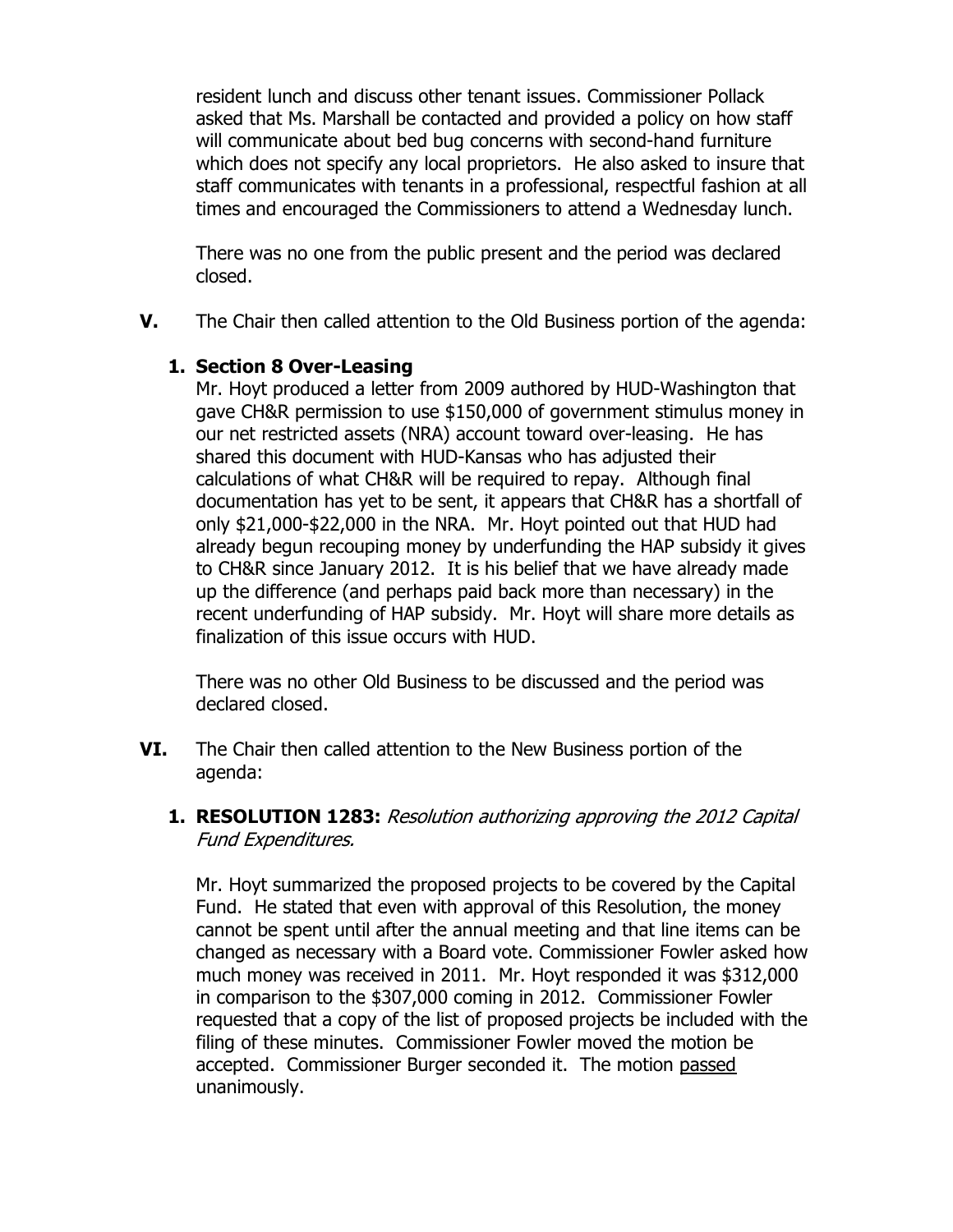resident lunch and discuss other tenant issues. Commissioner Pollack asked that Ms. Marshall be contacted and provided a policy on how staff will communicate about bed bug concerns with second-hand furniture which does not specify any local proprietors. He also asked to insure that staff communicates with tenants in a professional, respectful fashion at all times and encouraged the Commissioners to attend a Wednesday lunch.

There was no one from the public present and the period was declared closed.

**V.** The Chair then called attention to the Old Business portion of the agenda:

# **1. Section 8 Over-Leasing**

Mr. Hoyt produced a letter from 2009 authored by HUD-Washington that gave CH&R permission to use \$150,000 of government stimulus money in our net restricted assets (NRA) account toward over-leasing. He has shared this document with HUD-Kansas who has adjusted their calculations of what CH&R will be required to repay. Although final documentation has yet to be sent, it appears that CH&R has a shortfall of only \$21,000-\$22,000 in the NRA. Mr. Hoyt pointed out that HUD had already begun recouping money by underfunding the HAP subsidy it gives to CH&R since January 2012. It is his belief that we have already made up the difference (and perhaps paid back more than necessary) in the recent underfunding of HAP subsidy. Mr. Hoyt will share more details as finalization of this issue occurs with HUD.

There was no other Old Business to be discussed and the period was declared closed.

- **VI.** The Chair then called attention to the New Business portion of the agenda:
	- **1. RESOLUTION 1283:** Resolution authorizing approving the 2012 Capital Fund Expenditures.

Mr. Hoyt summarized the proposed projects to be covered by the Capital Fund. He stated that even with approval of this Resolution, the money cannot be spent until after the annual meeting and that line items can be changed as necessary with a Board vote. Commissioner Fowler asked how much money was received in 2011. Mr. Hoyt responded it was \$312,000 in comparison to the \$307,000 coming in 2012. Commissioner Fowler requested that a copy of the list of proposed projects be included with the filing of these minutes. Commissioner Fowler moved the motion be accepted. Commissioner Burger seconded it. The motion passed unanimously.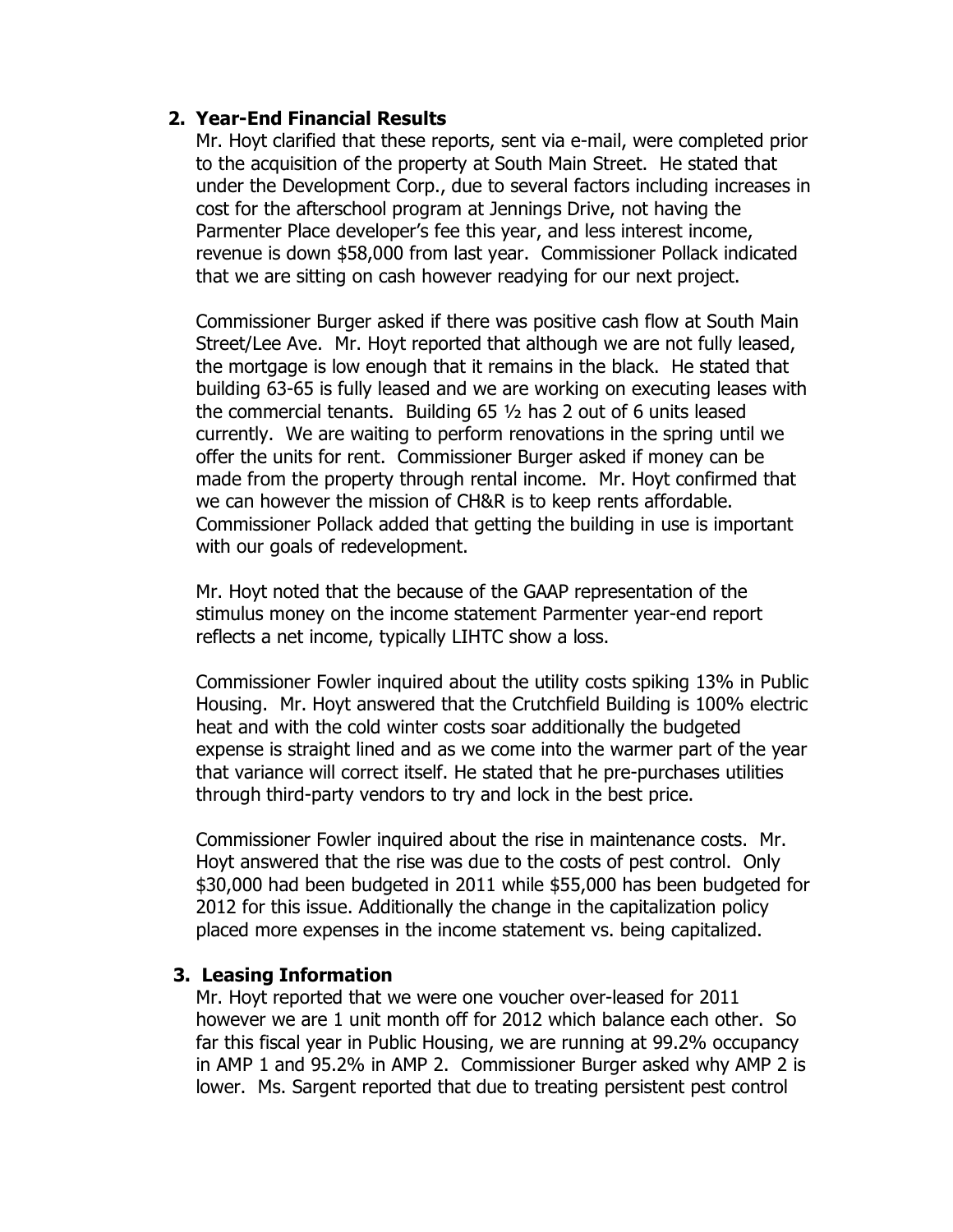### **2. Year-End Financial Results**

Mr. Hoyt clarified that these reports, sent via e-mail, were completed prior to the acquisition of the property at South Main Street. He stated that under the Development Corp., due to several factors including increases in cost for the afterschool program at Jennings Drive, not having the Parmenter Place developer's fee this year, and less interest income, revenue is down \$58,000 from last year. Commissioner Pollack indicated that we are sitting on cash however readying for our next project.

Commissioner Burger asked if there was positive cash flow at South Main Street/Lee Ave. Mr. Hoyt reported that although we are not fully leased, the mortgage is low enough that it remains in the black. He stated that building 63-65 is fully leased and we are working on executing leases with the commercial tenants. Building 65 ½ has 2 out of 6 units leased currently. We are waiting to perform renovations in the spring until we offer the units for rent. Commissioner Burger asked if money can be made from the property through rental income. Mr. Hoyt confirmed that we can however the mission of CH&R is to keep rents affordable. Commissioner Pollack added that getting the building in use is important with our goals of redevelopment.

Mr. Hoyt noted that the because of the GAAP representation of the stimulus money on the income statement Parmenter year-end report reflects a net income, typically LIHTC show a loss.

Commissioner Fowler inquired about the utility costs spiking 13% in Public Housing. Mr. Hoyt answered that the Crutchfield Building is 100% electric heat and with the cold winter costs soar additionally the budgeted expense is straight lined and as we come into the warmer part of the year that variance will correct itself. He stated that he pre-purchases utilities through third-party vendors to try and lock in the best price.

Commissioner Fowler inquired about the rise in maintenance costs. Mr. Hoyt answered that the rise was due to the costs of pest control. Only \$30,000 had been budgeted in 2011 while \$55,000 has been budgeted for 2012 for this issue. Additionally the change in the capitalization policy placed more expenses in the income statement vs. being capitalized.

#### **3. Leasing Information**

Mr. Hoyt reported that we were one voucher over-leased for 2011 however we are 1 unit month off for 2012 which balance each other. So far this fiscal year in Public Housing, we are running at 99.2% occupancy in AMP 1 and 95.2% in AMP 2. Commissioner Burger asked why AMP 2 is lower. Ms. Sargent reported that due to treating persistent pest control